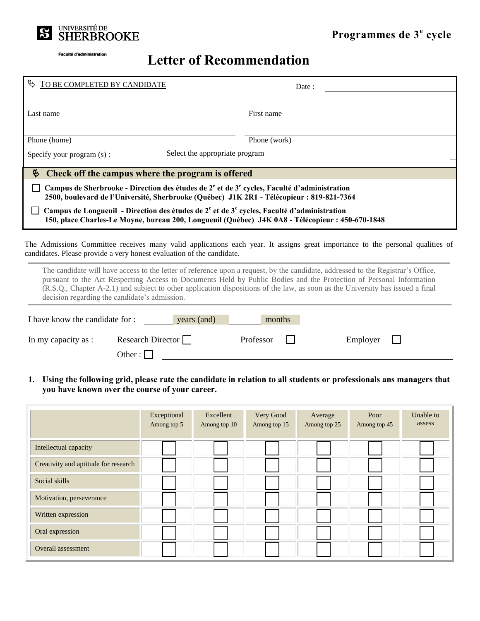

## **Letter of Recommendation**

| TO BE COMPLETED BY CANDIDATE                                                                                                                                                                                                                                                                                                                                                                                                               |                          | Date:                 |  |  |  |  |  |
|--------------------------------------------------------------------------------------------------------------------------------------------------------------------------------------------------------------------------------------------------------------------------------------------------------------------------------------------------------------------------------------------------------------------------------------------|--------------------------|-----------------------|--|--|--|--|--|
|                                                                                                                                                                                                                                                                                                                                                                                                                                            |                          |                       |  |  |  |  |  |
| Last name                                                                                                                                                                                                                                                                                                                                                                                                                                  |                          | First name            |  |  |  |  |  |
|                                                                                                                                                                                                                                                                                                                                                                                                                                            |                          |                       |  |  |  |  |  |
| Phone (home)                                                                                                                                                                                                                                                                                                                                                                                                                               |                          | Phone (work)          |  |  |  |  |  |
| Select the appropriate program<br>Specify your program (s):                                                                                                                                                                                                                                                                                                                                                                                |                          |                       |  |  |  |  |  |
| G<br>Check off the campus where the program is offered                                                                                                                                                                                                                                                                                                                                                                                     |                          |                       |  |  |  |  |  |
| Campus de Sherbrooke - Direction des études de $2^e$ et de $3^e$ cycles, Faculté d'administration                                                                                                                                                                                                                                                                                                                                          |                          |                       |  |  |  |  |  |
| 2500, boulevard de l'Université, Sherbrooke (Québec) J1K 2R1 - Télécopieur : 819-821-7364                                                                                                                                                                                                                                                                                                                                                  |                          |                       |  |  |  |  |  |
| Campus de Longueuil - Direction des études de $2^e$ et de $3^e$ cycles, Faculté d'administration<br>150, place Charles-Le Moyne, bureau 200, Longueuil (Québec) J4K 0A8 - Télécopieur : 450-670-1848                                                                                                                                                                                                                                       |                          |                       |  |  |  |  |  |
|                                                                                                                                                                                                                                                                                                                                                                                                                                            |                          |                       |  |  |  |  |  |
| The Admissions Committee receives many valid applications each year. It assigns great importance to the personal qualities of<br>candidates. Please provide a very honest evaluation of the candidate.                                                                                                                                                                                                                                     |                          |                       |  |  |  |  |  |
| The candidate will have access to the letter of reference upon a request, by the candidate, addressed to the Registrar's Office,<br>pursuant to the Act Respecting Access to Documents Held by Public Bodies and the Protection of Personal Information<br>(R.S.Q., Chapter A-2.1) and subject to other application dispositions of the law, as soon as the University has issued a final<br>decision regarding the candidate's admission. |                          |                       |  |  |  |  |  |
| I have know the candidate for :<br>years (and)<br>months                                                                                                                                                                                                                                                                                                                                                                                   |                          |                       |  |  |  |  |  |
| In my capacity as :                                                                                                                                                                                                                                                                                                                                                                                                                        | Research Director $\Box$ | Professor<br>Employer |  |  |  |  |  |
|                                                                                                                                                                                                                                                                                                                                                                                                                                            | Other : $\Box$           |                       |  |  |  |  |  |

**1. Using the following grid, please rate the candidate in relation to all students or professionals ans managers that you have known over the course of your career.** 

|                                      | Exceptional<br>Among top 5 | Excellent<br>Among top 10 | Very Good<br>Among top 15 | Average<br>Among top 25 | Poor<br>Among top 45 | Unable to<br>assess |
|--------------------------------------|----------------------------|---------------------------|---------------------------|-------------------------|----------------------|---------------------|
| Intellectual capacity                |                            |                           |                           |                         |                      |                     |
| Creativity and aptitude for research |                            |                           |                           |                         |                      |                     |
| Social skills                        |                            |                           |                           |                         |                      |                     |
| Motivation, perseverance             |                            |                           |                           |                         |                      |                     |
| Written expression                   |                            |                           |                           |                         |                      |                     |
| Oral expression                      |                            |                           |                           |                         |                      |                     |
| <b>Overall assessment</b>            |                            |                           |                           |                         |                      |                     |